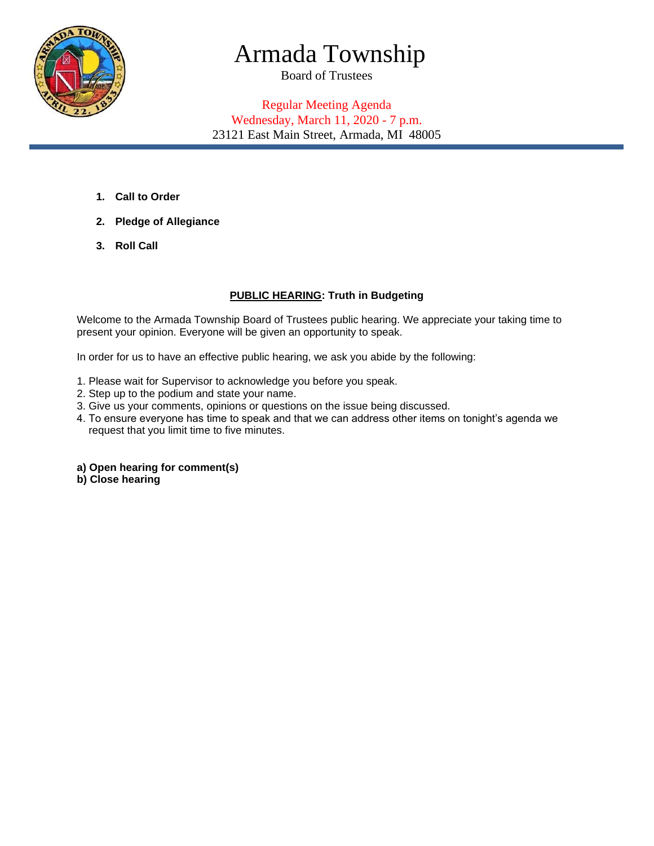

# Armada Township

Board of Trustees

## Regular Meeting Agenda Wednesday, March 11, 2020 - 7 p.m. 23121 East Main Street, Armada, MI 48005

- **1. Call to Order**
- **2. Pledge of Allegiance**
- **3. Roll Call**

### **PUBLIC HEARING: Truth in Budgeting**

Welcome to the Armada Township Board of Trustees public hearing. We appreciate your taking time to present your opinion. Everyone will be given an opportunity to speak.

In order for us to have an effective public hearing, we ask you abide by the following:

- 1. Please wait for Supervisor to acknowledge you before you speak.
- 2. Step up to the podium and state your name.
- 3. Give us your comments, opinions or questions on the issue being discussed.
- 4. To ensure everyone has time to speak and that we can address other items on tonight's agenda we request that you limit time to five minutes.
- **a) Open hearing for comment(s)**
- **b) Close hearing**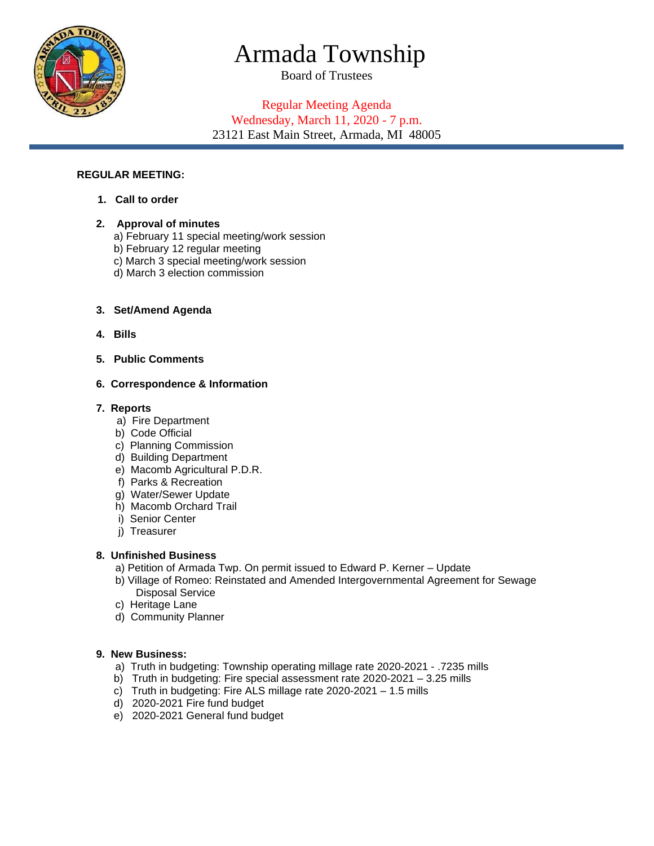

# Armada Township

Board of Trustees

## Regular Meeting Agenda Wednesday, March 11, 2020 - 7 p.m. 23121 East Main Street, Armada, MI 48005

#### **REGULAR MEETING:**

**1. Call to order**

#### **2. Approval of minutes**

- a) February 11 special meeting/work session
- b) February 12 regular meeting
- c) March 3 special meeting/work session
- d) March 3 election commission

#### **3. Set/Amend Agenda**

- **4. Bills**
- **5. Public Comments**

#### **6. Correspondence & Information**

#### **7. Reports**

- a) Fire Department
- b) Code Official
- c) Planning Commission
- d) Building Department
- e) Macomb Agricultural P.D.R.
- f) Parks & Recreation
- g) Water/Sewer Update
- h) Macomb Orchard Trail
- i) Senior Center
- j) Treasurer

### **8. Unfinished Business**

- a) Petition of Armada Twp. On permit issued to Edward P. Kerner Update
- b) Village of Romeo: Reinstated and Amended Intergovernmental Agreement for Sewage Disposal Service
- c) Heritage Lane
- d) Community Planner

#### **9. New Business:**

- a) Truth in budgeting: Township operating millage rate 2020-2021 .7235 mills
- b) Truth in budgeting: Fire special assessment rate 2020-2021 3.25 mills
- c) Truth in budgeting: Fire ALS millage rate 2020-2021 1.5 mills
- d) 2020-2021 Fire fund budget
- e) 2020-2021 General fund budget